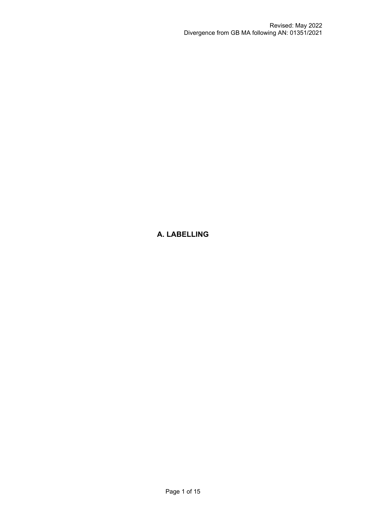# **A. LABELLING**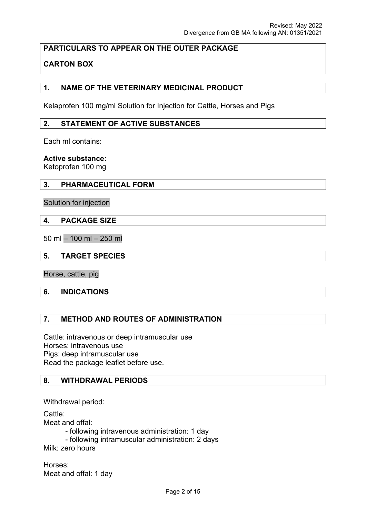# **PARTICULARS TO APPEAR ON THE OUTER PACKAGE**

# **CARTON BOX**

## **1. NAME OF THE VETERINARY MEDICINAL PRODUCT**

Kelaprofen 100 mg/ml Solution for Injection for Cattle, Horses and Pigs

#### **2. STATEMENT OF ACTIVE SUBSTANCES**

Each ml contains:

**Active substance:**

Ketoprofen 100 mg

#### **3. PHARMACEUTICAL FORM**

Solution for injection

#### **4. PACKAGE SIZE**

50 ml – 100 ml – 250 ml

### **5. TARGET SPECIES**

Horse, cattle, pig

#### **6. INDICATIONS**

## **7. METHOD AND ROUTES OF ADMINISTRATION**

Cattle: intravenous or deep intramuscular use Horses: intravenous use Pigs: deep intramuscular use Read the package leaflet before use.

## **8. WITHDRAWAL PERIODS**

Withdrawal period:

Cattle:

Meat and offal:

- following intravenous administration: 1 day

- following intramuscular administration: 2 days Milk: zero hours

Horses: Meat and offal: 1 day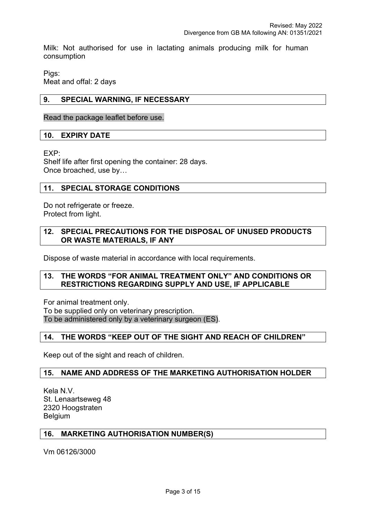Milk: Not authorised for use in lactating animals producing milk for human consumption

Pigs: Meat and offal: 2 days

## **9. SPECIAL WARNING, IF NECESSARY**

Read the package leaflet before use.

#### **10. EXPIRY DATE**

EXP:

Shelf life after first opening the container: 28 days. Once broached, use by…

#### **11. SPECIAL STORAGE CONDITIONS**

Do not refrigerate or freeze. Protect from light.

## **12. SPECIAL PRECAUTIONS FOR THE DISPOSAL OF UNUSED PRODUCTS OR WASTE MATERIALS, IF ANY**

Dispose of waste material in accordance with local requirements.

#### **13. THE WORDS "FOR ANIMAL TREATMENT ONLY" AND CONDITIONS OR RESTRICTIONS REGARDING SUPPLY AND USE, IF APPLICABLE**

For animal treatment only. To be supplied only on veterinary prescription. To be administered only by a veterinary surgeon (ES).

# **14. THE WORDS "KEEP OUT OF THE SIGHT AND REACH OF CHILDREN"**

Keep out of the sight and reach of children.

## **15. NAME AND ADDRESS OF THE MARKETING AUTHORISATION HOLDER**

Kela N.V. St. Lenaartseweg 48 2320 Hoogstraten Belgium

#### **16. MARKETING AUTHORISATION NUMBER(S)**

Vm 06126/3000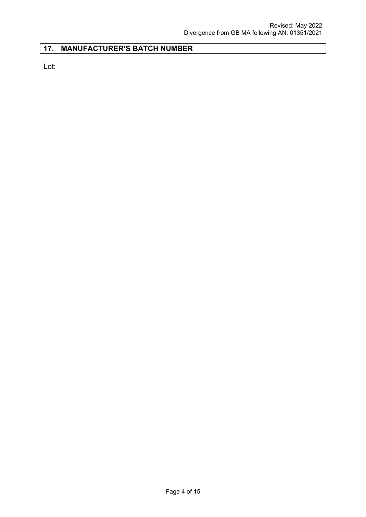# **17. MANUFACTURER'S BATCH NUMBER**

Lot: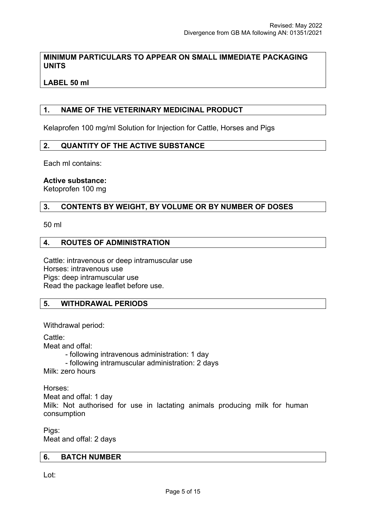### **MINIMUM PARTICULARS TO APPEAR ON SMALL IMMEDIATE PACKAGING UNITS**

**LABEL 50 ml**

### **1. NAME OF THE VETERINARY MEDICINAL PRODUCT**

Kelaprofen 100 mg/ml Solution for Injection for Cattle, Horses and Pigs

#### **2. QUANTITY OF THE ACTIVE SUBSTANCE**

Each ml contains:

#### **Active substance:**

Ketoprofen 100 mg

#### **3. CONTENTS BY WEIGHT, BY VOLUME OR BY NUMBER OF DOSES**

50 ml

#### **4. ROUTES OF ADMINISTRATION**

Cattle: intravenous or deep intramuscular use Horses: intravenous use Pigs: deep intramuscular use Read the package leaflet before use.

#### **5. WITHDRAWAL PERIODS**

Withdrawal period:

Cattle: Meat and offal: - following intravenous administration: 1 day - following intramuscular administration: 2 days

Milk: zero hours

Horses: Meat and offal: 1 day Milk: Not authorised for use in lactating animals producing milk for human consumption

Pigs: Meat and offal: 2 days

#### **6. BATCH NUMBER**

Lot: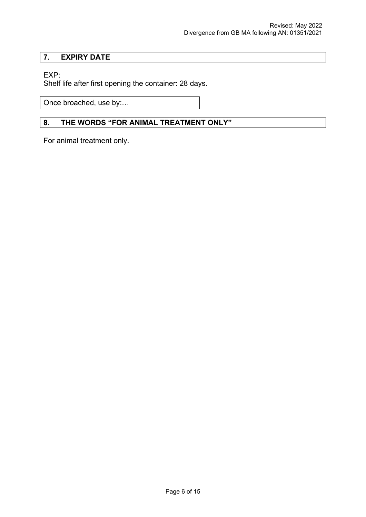# **7. EXPIRY DATE**

# EXP:

Shelf life after first opening the container: 28 days.

Once broached, use by:…

# **8. THE WORDS "FOR ANIMAL TREATMENT ONLY"**

For animal treatment only.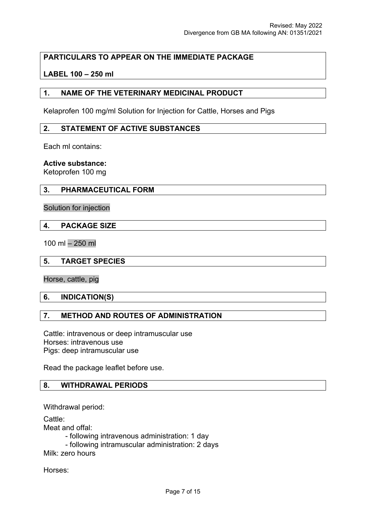# **PARTICULARS TO APPEAR ON THE IMMEDIATE PACKAGE**

## **LABEL 100 – 250 ml**

### **1. NAME OF THE VETERINARY MEDICINAL PRODUCT**

Kelaprofen 100 mg/ml Solution for Injection for Cattle, Horses and Pigs

#### **2. STATEMENT OF ACTIVE SUBSTANCES**

Each ml contains:

#### **Active substance:**

Ketoprofen 100 mg

## **3. PHARMACEUTICAL FORM**

Solution for injection

#### **4. PACKAGE SIZE**

100 ml – 250 ml

#### **5. TARGET SPECIES**

Horse, cattle, pig

#### **6. INDICATION(S)**

## **7. METHOD AND ROUTES OF ADMINISTRATION**

Cattle: intravenous or deep intramuscular use Horses: intravenous use Pigs: deep intramuscular use

Read the package leaflet before use.

## **8. WITHDRAWAL PERIODS**

Withdrawal period:

Cattle: Meat and offal:

- following intravenous administration: 1 day

- following intramuscular administration: 2 days

Milk: zero hours

Horses: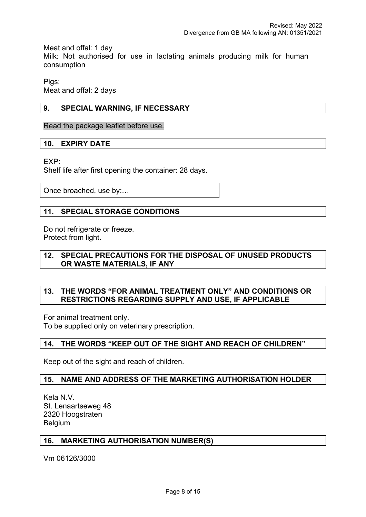Meat and offal: 1 day

Milk: Not authorised for use in lactating animals producing milk for human consumption

Pigs: Meat and offal: 2 days

## **9. SPECIAL WARNING, IF NECESSARY**

Read the package leaflet before use.

## **10. EXPIRY DATE**

EXP:

Shelf life after first opening the container: 28 days.

Once broached, use by:…

## **11. SPECIAL STORAGE CONDITIONS**

Do not refrigerate or freeze. Protect from light.

## **12. SPECIAL PRECAUTIONS FOR THE DISPOSAL OF UNUSED PRODUCTS OR WASTE MATERIALS, IF ANY**

## **13. THE WORDS "FOR ANIMAL TREATMENT ONLY" AND CONDITIONS OR RESTRICTIONS REGARDING SUPPLY AND USE, IF APPLICABLE**

For animal treatment only.

To be supplied only on veterinary prescription.

#### **14. THE WORDS "KEEP OUT OF THE SIGHT AND REACH OF CHILDREN"**

Keep out of the sight and reach of children.

## **15. NAME AND ADDRESS OF THE MARKETING AUTHORISATION HOLDER**

Kela N.V. St. Lenaartseweg 48 2320 Hoogstraten Belgium

#### **16. MARKETING AUTHORISATION NUMBER(S)**

Vm 06126/3000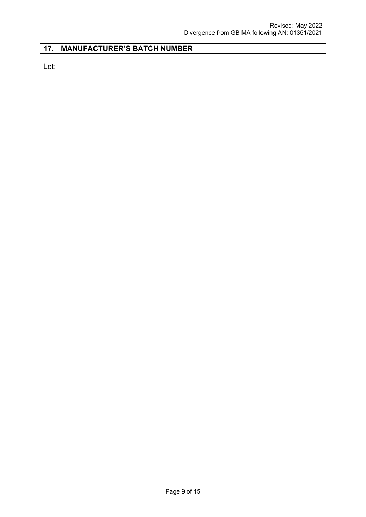# **17. MANUFACTURER'S BATCH NUMBER**

Lot: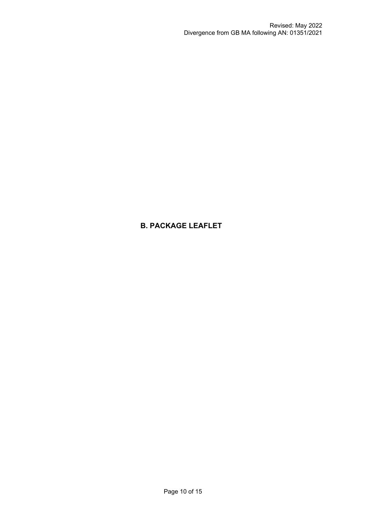# **B. PACKAGE LEAFLET**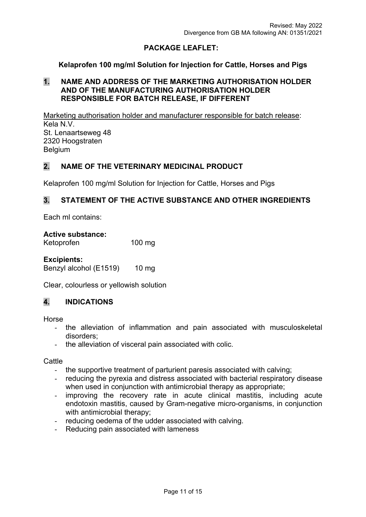# **PACKAGE LEAFLET:**

### **Kelaprofen 100 mg/ml Solution for Injection for Cattle, Horses and Pigs**

## **1. NAME AND ADDRESS OF THE MARKETING AUTHORISATION HOLDER AND OF THE MANUFACTURING AUTHORISATION HOLDER RESPONSIBLE FOR BATCH RELEASE, IF DIFFERENT**

Marketing authorisation holder and manufacturer responsible for batch release: Kela N.V. St. Lenaartseweg 48 2320 Hoogstraten **Belgium** 

## **2. NAME OF THE VETERINARY MEDICINAL PRODUCT**

Kelaprofen 100 mg/ml Solution for Injection for Cattle, Horses and Pigs

## **3. STATEMENT OF THE ACTIVE SUBSTANCE AND OTHER INGREDIENTS**

Each ml contains:

**Active substance:**  Ketoprofen 100 mg

**Excipients:**  Benzyl alcohol (E1519) 10 mg

Clear, colourless or yellowish solution

# **4. INDICATIONS**

Horse

- the alleviation of inflammation and pain associated with musculoskeletal disorders;
- the alleviation of visceral pain associated with colic.

**Cattle** 

- the supportive treatment of parturient paresis associated with calving;
- reducing the pyrexia and distress associated with bacterial respiratory disease when used in conjunction with antimicrobial therapy as appropriate;
- improving the recovery rate in acute clinical mastitis, including acute endotoxin mastitis, caused by Gram-negative micro-organisms, in conjunction with antimicrobial therapy;
- reducing oedema of the udder associated with calving.
- Reducing pain associated with lameness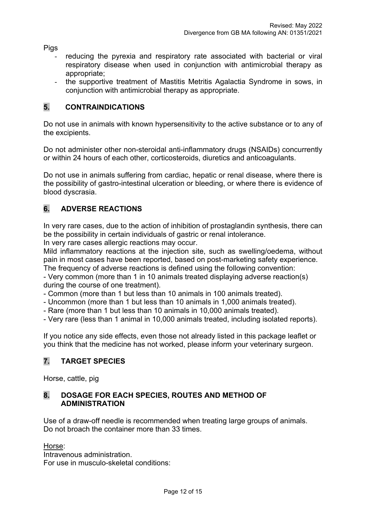Pigs

- reducing the pyrexia and respiratory rate associated with bacterial or viral respiratory disease when used in conjunction with antimicrobial therapy as appropriate;
- the supportive treatment of Mastitis Metritis Agalactia Syndrome in sows, in conjunction with antimicrobial therapy as appropriate.

# **5. CONTRAINDICATIONS**

Do not use in animals with known hypersensitivity to the active substance or to any of the excipients.

Do not administer other non-steroidal anti-inflammatory drugs (NSAIDs) concurrently or within 24 hours of each other, corticosteroids, diuretics and anticoagulants.

Do not use in animals suffering from cardiac, hepatic or renal disease, where there is the possibility of gastro-intestinal ulceration or bleeding, or where there is evidence of blood dyscrasia.

# **6. ADVERSE REACTIONS**

In very rare cases, due to the action of inhibition of prostaglandin synthesis, there can be the possibility in certain individuals of gastric or renal intolerance.

In very rare cases allergic reactions may occur.

Mild inflammatory reactions at the injection site, such as swelling/oedema, without pain in most cases have been reported, based on post-marketing safety experience.

The frequency of adverse reactions is defined using the following convention:

- Very common (more than 1 in 10 animals treated displaying adverse reaction(s) during the course of one treatment).

- Common (more than 1 but less than 10 animals in 100 animals treated).

- Uncommon (more than 1 but less than 10 animals in 1,000 animals treated).
- Rare (more than 1 but less than 10 animals in 10,000 animals treated).

- Very rare (less than 1 animal in 10,000 animals treated, including isolated reports).

If you notice any side effects, even those not already listed in this package leaflet or you think that the medicine has not worked, please inform your veterinary surgeon.

# **7. TARGET SPECIES**

Horse, cattle, pig

# **8. DOSAGE FOR EACH SPECIES, ROUTES AND METHOD OF ADMINISTRATION**

Use of a draw-off needle is recommended when treating large groups of animals. Do not broach the container more than 33 times.

Horse:

Intravenous administration. For use in musculo-skeletal conditions: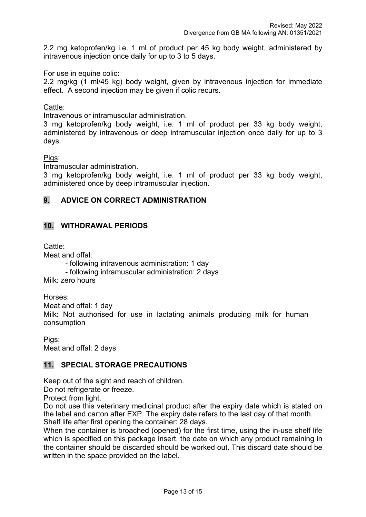2.2 mg ketoprofen/kg i.e. 1 ml of product per 45 kg body weight, administered by intravenous injection once daily for up to 3 to 5 days.

For use in equine colic:

2.2 mg/kg (1 ml/45 kg) body weight, given by intravenous injection for immediate effect. A second injection may be given if colic recurs.

## Cattle:

Intravenous or intramuscular administration.

3 mg ketoprofen/kg body weight, i.e. 1 ml of product per 33 kg body weight, administered by intravenous or deep intramuscular injection once daily for up to 3 days.

Pigs:

Intramuscular administration.

3 mg ketoprofen/kg body weight, i.e. 1 ml of product per 33 kg body weight, administered once by deep intramuscular injection.

# **9. ADVICE ON CORRECT ADMINISTRATION**

## **10. WITHDRAWAL PERIODS**

Cattle:

Meat and offal:

- following intravenous administration: 1 day

- following intramuscular administration: 2 days

Milk: zero hours

Horses:

Meat and offal: 1 day

Milk: Not authorised for use in lactating animals producing milk for human consumption

Pigs: Meat and offal: 2 days

# **11. SPECIAL STORAGE PRECAUTIONS**

Keep out of the sight and reach of children.

Do not refrigerate or freeze.

Protect from light.

Do not use this veterinary medicinal product after the expiry date which is stated on the label and carton after EXP. The expiry date refers to the last day of that month. Shelf life after first opening the container: 28 days.

When the container is broached (opened) for the first time, using the in-use shelf life which is specified on this package insert, the date on which any product remaining in the container should be discarded should be worked out. This discard date should be written in the space provided on the label.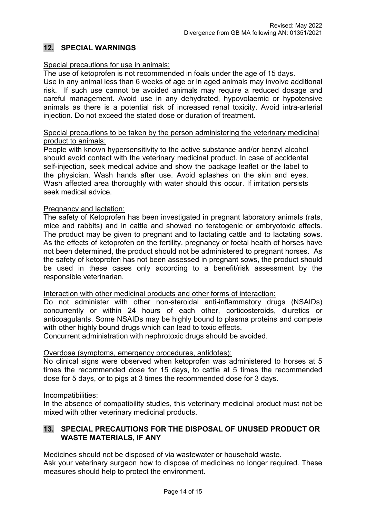## **12. SPECIAL WARNINGS**

### Special precautions for use in animals:

The use of ketoprofen is not recommended in foals under the age of 15 days.

Use in any animal less than 6 weeks of age or in aged animals may involve additional risk. If such use cannot be avoided animals may require a reduced dosage and careful management. Avoid use in any dehydrated, hypovolaemic or hypotensive animals as there is a potential risk of increased renal toxicity. Avoid intra-arterial injection. Do not exceed the stated dose or duration of treatment.

#### Special precautions to be taken by the person administering the veterinary medicinal product to animals:

People with known hypersensitivity to the active substance and/or benzyl alcohol should avoid contact with the veterinary medicinal product. In case of accidental self-injection, seek medical advice and show the package leaflet or the label to the physician. Wash hands after use. Avoid splashes on the skin and eyes. Wash affected area thoroughly with water should this occur. If irritation persists seek medical advice.

#### Pregnancy and lactation:

The safety of Ketoprofen has been investigated in pregnant laboratory animals (rats, mice and rabbits) and in cattle and showed no teratogenic or embryotoxic effects. The product may be given to pregnant and to lactating cattle and to lactating sows. As the effects of ketoprofen on the fertility, pregnancy or foetal health of horses have not been determined, the product should not be administered to pregnant horses. As the safety of ketoprofen has not been assessed in pregnant sows, the product should be used in these cases only according to a benefit/risk assessment by the responsible veterinarian.

#### Interaction with other medicinal products and other forms of interaction:

Do not administer with other non-steroidal anti-inflammatory drugs (NSAIDs) concurrently or within 24 hours of each other, corticosteroids, diuretics or anticoagulants. Some NSAIDs may be highly bound to plasma proteins and compete with other highly bound drugs which can lead to toxic effects.

Concurrent administration with nephrotoxic drugs should be avoided.

#### Overdose (symptoms, emergency procedures, antidotes):

No clinical signs were observed when ketoprofen was administered to horses at 5 times the recommended dose for 15 days, to cattle at 5 times the recommended dose for 5 days, or to pigs at 3 times the recommended dose for 3 days.

#### Incompatibilities:

In the absence of compatibility studies, this veterinary medicinal product must not be mixed with other veterinary medicinal products.

## **13. SPECIAL PRECAUTIONS FOR THE DISPOSAL OF UNUSED PRODUCT OR WASTE MATERIALS, IF ANY**

Medicines should not be disposed of via wastewater or household waste.

Ask your veterinary surgeon how to dispose of medicines no longer required. These measures should help to protect the environment.